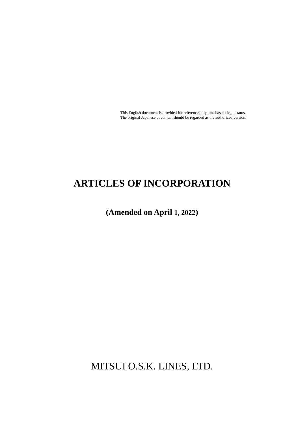This English document is provided for reference only, and has no legal status. The original Japanese document should be regarded as the authorized version.

# **ARTICLES OF INCORPORATION**

**(Amended on April 1, 2022)**

MITSUI O.S.K. LINES, LTD.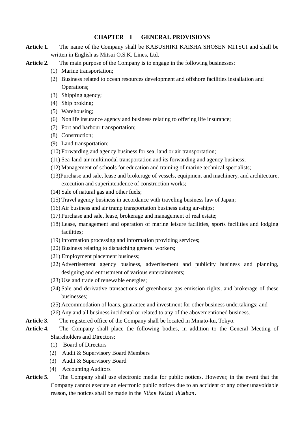# **CHAPTER I GENERAL PROVISIONS**

- **Article 1.** The name of the Company shall be KABUSHIKI KAISHA SHOSEN MITSUI and shall be written in English as Mitsui O.S.K. Lines, Ltd.
- Article 2. The main purpose of the Company is to engage in the following businesses:
	- (1) Marine transportation;
	- (2) Business related to ocean resources development and offshore facilities installation and Operations;
	- (3) Shipping agency;
	- (4) Ship broking;
	- (5) Warehousing;
	- (6) Nonlife insurance agency and business relating to offering life insurance;
	- (7) Port and harbour transportation;
	- (8) Construction;
	- (9) Land transportation;
	- (10) Forwarding and agency business for sea, land or air transportation;
	- (11) Sea-land-air multimodal transportation and its forwarding and agency business;
	- (12) Management of schools for education and training of marine technical specialists;
	- (13)Purchase and sale, lease and brokerage of vessels, equipment and machinery, and architecture, execution and superintendence of construction works;
	- (14) Sale of natural gas and other fuels;
	- (15) Travel agency business in accordance with traveling business law of Japan;
	- (16) Air business and air tramp transportation business using air-ships;
	- (17) Purchase and sale, lease, brokerage and management of real estate;
	- (18) Lease, management and operation of marine leisure facilities, sports facilities and lodging facilities;
	- (19) Information processing and information providing services;
	- (20) Business relating to dispatching general workers;
	- (21) Employment placement business;
	- (22) Advertisement agency business, advertisement and publicity business and planning, designing and entrustment of various entertainments;
	- (23) Use and trade of renewable energies;
	- (24) Sale and derivative transactions of greenhouse gas emission rights, and brokerage of these businesses;
	- (25) Accommodation of loans, guarantee and investment for other business undertakings; and
	- (26) Any and all business incidental or related to any of the abovementioned business.
- **Article 3.** The registered office of the Company shall be located in Minato-ku, Tokyo.
- **Article 4.** The Company shall place the following bodies, in addition to the General Meeting of Shareholders and Directors:
	- (1) Board of Directors
	- (2) Audit & Supervisory Board Members
	- (3) Audit & Supervisory Board
	- (4) Accounting Auditors
- **Article 5.** The Company shall use electronic media for public notices. However, in the event that the Company cannot execute an electronic public notices due to an accident or any other unavoidable reason, the notices shall be made in the Nihon Keizai shimbun.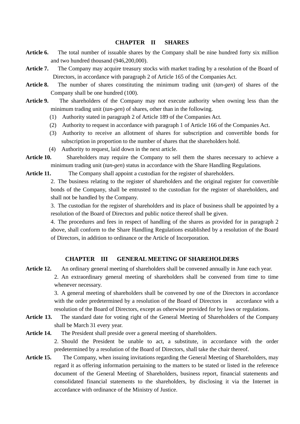#### **CHAPTER II SHARES**

- **Article 6.** The total number of issuable shares by the Company shall be nine hundred forty six million and two hundred thousand (946,200,000).
- **Article 7.** The Company may acquire treasury stocks with market trading by a resolution of the Board of Directors, in accordance with paragraph 2 of Article 165 of the Companies Act.
- **Article 8.** The number of shares constituting the minimum trading unit (*tan-gen*) of shares of the Company shall be one hundred (100).
- **Article 9.** The shareholders of the Company may not execute authority when owning less than the minimum trading unit (*tan-gen*) of shares, other than in the following.
	- (1) Authority stated in paragraph 2 of Article 189 of the Companies Act.
	- (2) Authority to request in accordance with paragraph 1 of Article 166 of the Companies Act.
	- (3) Authority to receive an allotment of shares for subscription and convertible bonds for subscription in proportion to the number of shares that the shareholders hold.
	- (4) Authority to request, laid down in the next article.
- **Article 10.** Shareholders may require the Company to sell them the shares necessary to achieve a minimum trading unit (*tan-gen*) status in accordance with the Share Handling Regulations.
- Article 11. The Company shall appoint a custodian for the register of shareholders.

2. The business relating to the register of shareholders and the original register for convertible bonds of the Company, shall be entrusted to the custodian for the register of shareholders, and shall not be handled by the Company.

3. The custodian for the register of shareholders and its place of business shall be appointed by a resolution of the Board of Directors and public notice thereof shall be given.

4. The procedures and fees in respect of handling of the shares as provided for in paragraph 2 above, shall conform to the Share Handling Regulations established by a resolution of the Board of Directors, in addition to ordinance or the Article of Incorporation.

### **CHAPTER III GENERAL MEETING OF SHAREHOLDERS**

**Article 12.** An ordinary general meeting of shareholders shall be convened annually in June each year. 2. An extraordinary general meeting of shareholders shall be convened from time to time whenever necessary.

> 3. A general meeting of shareholders shall be convened by one of the Directors in accordance with the order predetermined by a resolution of the Board of Directors in accordance with a resolution of the Board of Directors, except as otherwise provided for by laws or regulations.

**Article 13.** The standard date for voting right of the General Meeting of Shareholders of the Company shall be March 31 every year.

**Article 14.** The President shall preside over a general meeting of shareholders.

2. Should the President be unable to act, a substitute, in accordance with the order predetermined by a resolution of the Board of Directors, shall take the chair thereof.

**Article 15.** The Company, when issuing invitations regarding the General Meeting of Shareholders, may regard it as offering information pertaining to the matters to be stated or listed in the reference document of the General Meeting of Shareholders, business report, financial statements and consolidated financial statements to the shareholders, by disclosing it via the Internet in accordance with ordinance of the Ministry of Justice.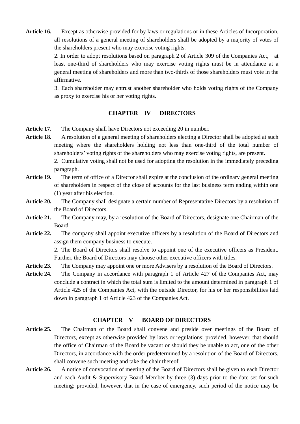**Article 16.** Except as otherwise provided for by laws or regulations or in these Articles of Incorporation, all resolutions of a general meeting of shareholders shall be adopted by a majority of votes of the shareholders present who may exercise voting rights.

> 2. In order to adopt resolutions based on paragraph 2 of Article 309 of the Companies Act, at least one-third of shareholders who may exercise voting rights must be in attendance at a general meeting of shareholders and more than two-thirds of those shareholders must vote in the affirmative.

> 3. Each shareholder may entrust another shareholder who holds voting rights of the Company as proxy to exercise his or her voting rights.

# **CHAPTER IV DIRECTORS**

- Article 17. The Company shall have Directors not exceeding 20 in number.
- **Article 18.** A resolution of a general meeting of shareholders electing a Director shall be adopted at such meeting where the shareholders holding not less than one-third of the total number of shareholders' voting rights of the shareholders who may exercise voting rights, are present.
	- 2. Cumulative voting shall not be used for adopting the resolution in the immediately preceding paragraph.
- **Article 19.** The term of office of a Director shall expire at the conclusion of the ordinary general meeting of shareholders in respect of the close of accounts for the last business term ending within one (1) year after his election.
- **Article 20.** The Company shall designate a certain number of Representative Directors by a resolution of the Board of Directors.
- **Article 21.** The Company may, by a resolution of the Board of Directors, designate one Chairman of the Board.
- **Article 22.** The company shall appoint executive officers by a resolution of the Board of Directors and assign them company business to execute.

2. The Board of Directors shall resolve to appoint one of the executive officers as President. Further, the Board of Directors may choose other executive officers with titles.

- **Article 23.** The Company may appoint one or more Advisers by a resolution of the Board of Directors.
- **Article 24.** The Company in accordance with paragraph 1 of Article 427 of the Companies Act, may conclude a contract in which the total sum is limited to the amount determined in paragraph 1 of Article 425 of the Companies Act, with the outside Director, for his or her responsibilities laid down in paragraph 1 of Article 423 of the Companies Act.

#### **CHAPTER V BOARD OF DIRECTORS**

- **Article 25.** The Chairman of the Board shall convene and preside over meetings of the Board of Directors, except as otherwise provided by laws or regulations; provided, however, that should the office of Chairman of the Board be vacant or should they be unable to act, one of the other Directors, in accordance with the order predetermined by a resolution of the Board of Directors, shall convene such meeting and take the chair thereof.
- **Article 26.** A notice of convocation of meeting of the Board of Directors shall be given to each Director and each Audit & Supervisory Board Member by three (3) days prior to the date set for such meeting; provided, however, that in the case of emergency, such period of the notice may be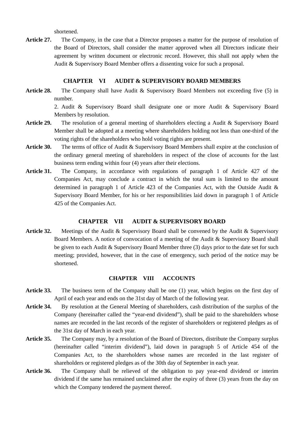shortened.

Article 27. The Company, in the case that a Director proposes a matter for the purpose of resolution of the Board of Directors, shall consider the matter approved when all Directors indicate their agreement by written document or electronic record. However, this shall not apply when the Audit & Supervisory Board Member offers a dissenting voice for such a proposal.

## **CHAPTER VI AUDIT & SUPERVISORY BOARD MEMBERS**

**Article 28.** The Company shall have Audit & Supervisory Board Members not exceeding five (5) in number.

> 2. Audit & Supervisory Board shall designate one or more Audit & Supervisory Board Members by resolution.

- **Article 29.** The resolution of a general meeting of shareholders electing a Audit & Supervisory Board Member shall be adopted at a meeting where shareholders holding not less than one-third of the voting rights of the shareholders who hold voting rights are present.
- **Article 30.** The terms of office of Audit & Supervisory Board Members shall expire at the conclusion of the ordinary general meeting of shareholders in respect of the close of accounts for the last business term ending within four (4) years after their elections.
- **Article 31.** The Company, in accordance with regulations of paragraph 1 of Article 427 of the Companies Act, may conclude a contract in which the total sum is limited to the amount determined in paragraph 1 of Article 423 of the Companies Act, with the Outside Audit & Supervisory Board Member, for his or her responsibilities laid down in paragraph 1 of Article 425 of the Companies Act.

# **CHAPTER VII AUDIT & SUPERVISORY BOARD**

Article 32. Meetings of the Audit & Supervisory Board shall be convened by the Audit & Supervisory Board Members. A notice of convocation of a meeting of the Audit & Supervisory Board shall be given to each Audit & Supervisory Board Member three (3) days prior to the date set for such meeting; provided, however, that in the case of emergency, such period of the notice may be shortened.

#### **CHAPTER VIII ACCOUNTS**

- **Article 33.** The business term of the Company shall be one (1) year, which begins on the first day of April of each year and ends on the 31st day of March of the following year.
- **Article 34.** By resolution at the General Meeting of shareholders, cash distribution of the surplus of the Company (hereinafter called the "year-end dividend"), shall be paid to the shareholders whose names are recorded in the last records of the register of shareholders or registered pledges as of the 31st day of March in each year.
- **Article 35.** The Company may, by a resolution of the Board of Directors, distribute the Company surplus (hereinafter called "interim dividend"), laid down in paragraph 5 of Article 454 of the Companies Act, to the shareholders whose names are recorded in the last register of shareholders or registered pledges as of the 30th day of September in each year.
- **Article 36.** The Company shall be relieved of the obligation to pay year-end dividend or interim dividend if the same has remained unclaimed after the expiry of three (3) years from the day on which the Company tendered the payment thereof.